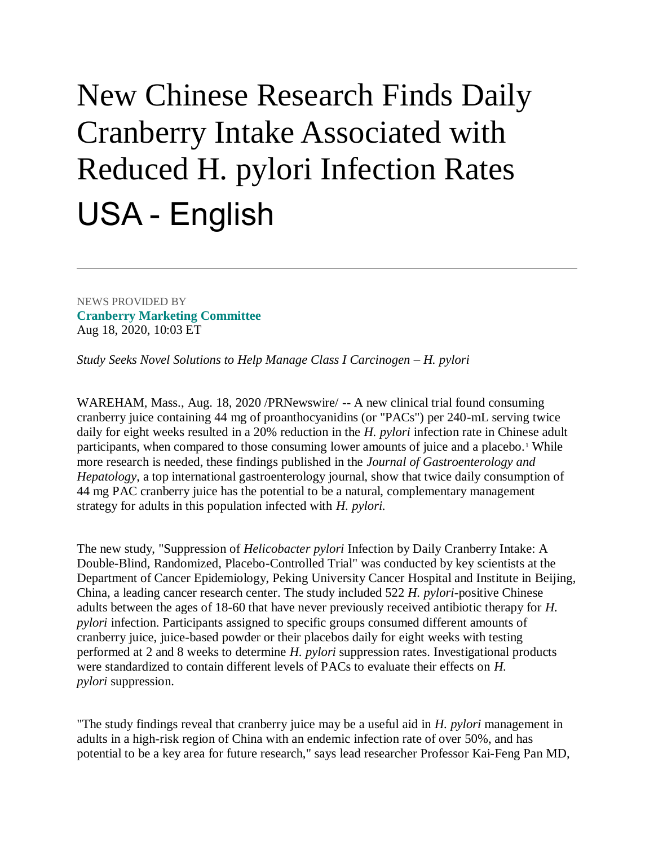## New Chinese Research Finds Daily Cranberry Intake Associated with Reduced H. pylori Infection Rates USA - English

NEWS PROVIDED BY **[Cranberry Marketing Committee](https://www.prnewswire.com/news/cranberry-marketing-committee/)** Aug 18, 2020, 10:03 ET

*Study Seeks Novel Solutions to Help Manage Class I Carcinogen – H. pylori*

WAREHAM, Mass., Aug. 18, 2020 /PRNewswire/ -- A new clinical trial found consuming cranberry juice containing 44 mg of proanthocyanidins (or "PACs") per 240-mL serving twice daily for eight weeks resulted in a 20% reduction in the *H. pylori* infection rate in Chinese adult participants, when compared to those consuming lower amounts of juice and a placebo.<sup>1</sup> While more research is needed, these findings published in the *Journal of Gastroenterology and Hepatology*, a top international gastroenterology journal, show that twice daily consumption of 44 mg PAC cranberry juice has the potential to be a natural, complementary management strategy for adults in this population infected with *H. pylori.*

The new study, "Suppression of *Helicobacter pylori* Infection by Daily Cranberry Intake: A Double-Blind, Randomized, Placebo-Controlled Trial" was conducted by key scientists at the Department of Cancer Epidemiology, Peking University Cancer Hospital and Institute in Beijing, China, a leading cancer research center. The study included 522 *H. pylori*-positive Chinese adults between the ages of 18-60 that have never previously received antibiotic therapy for *H. pylori* infection. Participants assigned to specific groups consumed different amounts of cranberry juice, juice-based powder or their placebos daily for eight weeks with testing performed at 2 and 8 weeks to determine *H. pylori* suppression rates. Investigational products were standardized to contain different levels of PACs to evaluate their effects on *H. pylori* suppression.

"The study findings reveal that cranberry juice may be a useful aid in *H. pylori* management in adults in a high-risk region of China with an endemic infection rate of over 50%, and has potential to be a key area for future research," says lead researcher Professor Kai-Feng Pan MD,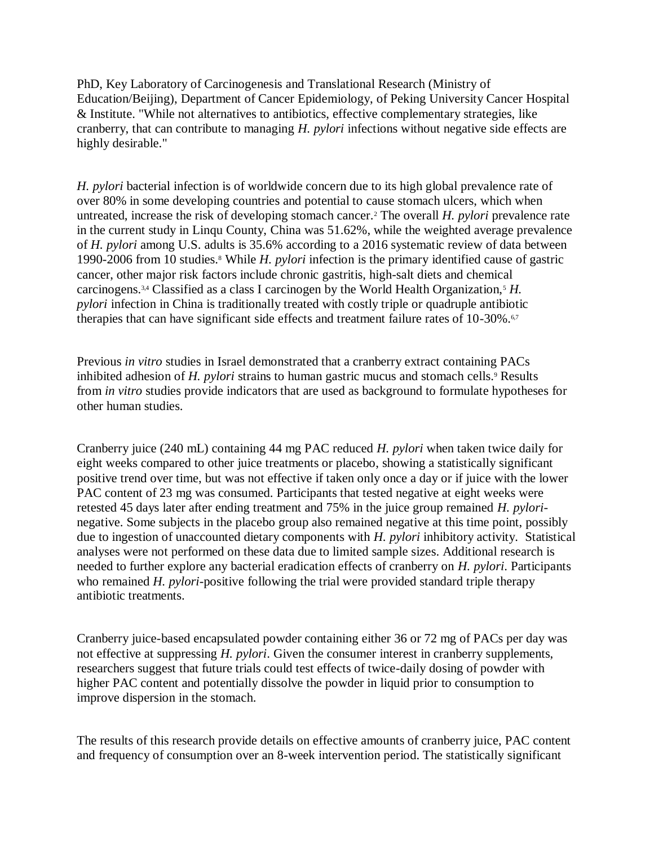PhD, Key Laboratory of Carcinogenesis and Translational Research (Ministry of Education/Beijing), Department of Cancer Epidemiology, of Peking University Cancer Hospital & Institute. "While not alternatives to antibiotics, effective complementary strategies, like cranberry, that can contribute to managing *H. pylori* infections without negative side effects are highly desirable."

*H. pylori* bacterial infection is of worldwide concern due to its high global prevalence rate of over 80% in some developing countries and potential to cause stomach ulcers, which when untreated, increase the risk of developing stomach cancer.<sup>2</sup> The overall *H. pylori* prevalence rate in the current study in Linqu County, China was 51.62%, while the weighted average prevalence of *H. pylori* among U.S. adults is 35.6% according to a 2016 systematic review of data between 1990-2006 from 10 studies.<sup>8</sup> While *H. pylori* infection is the primary identified cause of gastric cancer, other major risk factors include chronic gastritis, high-salt diets and chemical carcinogens.<sup>3,4</sup> Classified as a class I carcinogen by the World Health Organization,<sup>5</sup> *H*. *pylori* infection in China is traditionally treated with costly triple or quadruple antibiotic therapies that can have significant side effects and treatment failure rates of 10-30%.<sup>6,7</sup>

Previous *in vitro* studies in Israel demonstrated that a cranberry extract containing PACs inhibited adhesion of *H. pylori* strains to human gastric mucus and stomach cells.<sup>9</sup> Results from *in vitro* studies provide indicators that are used as background to formulate hypotheses for other human studies.

Cranberry juice (240 mL) containing 44 mg PAC reduced *H. pylori* when taken twice daily for eight weeks compared to other juice treatments or placebo, showing a statistically significant positive trend over time, but was not effective if taken only once a day or if juice with the lower PAC content of 23 mg was consumed. Participants that tested negative at eight weeks were retested 45 days later after ending treatment and 75% in the juice group remained *H. pylori*negative. Some subjects in the placebo group also remained negative at this time point, possibly due to ingestion of unaccounted dietary components with *H. pylori* inhibitory activity. Statistical analyses were not performed on these data due to limited sample sizes. Additional research is needed to further explore any bacterial eradication effects of cranberry on *H. pylori*. Participants who remained *H. pylori*-positive following the trial were provided standard triple therapy antibiotic treatments.

Cranberry juice-based encapsulated powder containing either 36 or 72 mg of PACs per day was not effective at suppressing *H. pylori*. Given the consumer interest in cranberry supplements, researchers suggest that future trials could test effects of twice-daily dosing of powder with higher PAC content and potentially dissolve the powder in liquid prior to consumption to improve dispersion in the stomach.

The results of this research provide details on effective amounts of cranberry juice, PAC content and frequency of consumption over an 8-week intervention period. The statistically significant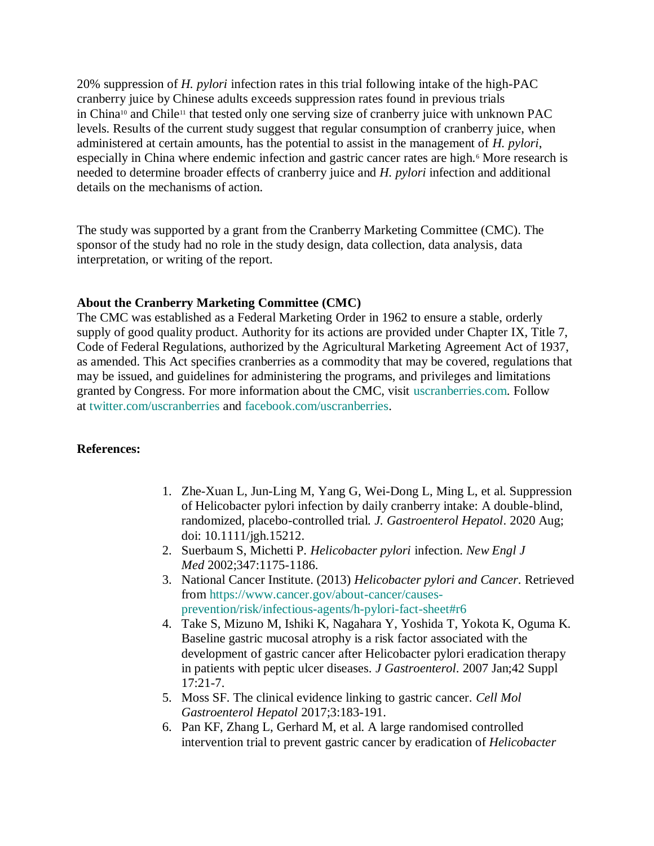20% suppression of *H. pylori* infection rates in this trial following intake of the high-PAC cranberry juice by Chinese adults exceeds suppression rates found in previous trials in China<sup>10</sup> and Chile<sup>11</sup> that tested only one serving size of cranberry juice with unknown PAC levels. Results of the current study suggest that regular consumption of cranberry juice, when administered at certain amounts, has the potential to assist in the management of *H. pylori*, especially in China where endemic infection and gastric cancer rates are high.<sup>6</sup> More research is needed to determine broader effects of cranberry juice and *H. pylori* infection and additional details on the mechanisms of action.

The study was supported by a grant from the Cranberry Marketing Committee (CMC). The sponsor of the study had no role in the study design, data collection, data analysis, data interpretation, or writing of the report.

## **About the Cranberry Marketing Committee (CMC)**

The CMC was established as a Federal Marketing Order in 1962 to ensure a stable, orderly supply of good quality product. Authority for its actions are provided under Chapter IX, Title 7, Code of Federal Regulations, authorized by the Agricultural Marketing Agreement Act of 1937, as amended. This Act specifies cranberries as a commodity that may be covered, regulations that may be issued, and guidelines for administering the programs, and privileges and limitations granted by Congress. For more information about the CMC, visit [uscranberries.com.](https://c212.net/c/link/?t=0&l=en&o=2887745-1&h=1434916141&u=http%3A%2F%2Fwww.uscranberries.com%2F&a=uscranberries.com) Follow at [twitter.com/uscranberries](https://c212.net/c/link/?t=0&l=en&o=2887745-1&h=3815406586&u=https%3A%2F%2Ftwitter.com%2Fuscranberries&a=twitter.com%2Fuscranberries) and [facebook.com/uscranberries.](https://c212.net/c/link/?t=0&l=en&o=2887745-1&h=2217132940&u=https%3A%2F%2Ffacebook.com%2Fuscranberries&a=facebook.com%2Fuscranberries)

## **References:**

- 1. Zhe-Xuan L, Jun-Ling M, Yang G, Wei-Dong L, Ming L, et al. Suppression of Helicobacter pylori infection by daily cranberry intake: A double-blind, randomized, placebo-controlled trial*. J. Gastroenterol Hepatol*. 2020 Aug; doi: 10.1111/jgh.15212.
- 2. Suerbaum S, Michetti P. *Helicobacter pylori* infection. *New Engl J Med* 2002;347:1175-1186.
- 3. National Cancer Institute. (2013) *Helicobacter pylori and Cancer*. Retrieved from [https://www.cancer.gov/about-cancer/causes](https://c212.net/c/link/?t=0&l=en&o=2887745-1&h=1822152803&u=https%3A%2F%2Fwww.cancer.gov%2Fabout-cancer%2Fcauses-prevention%2Frisk%2Finfectious-agents%2Fh-pylori-fact-sheet%23r6&a=https%3A%2F%2Fwww.cancer.gov%2Fabout-cancer%2Fcauses-prevention%2Frisk%2Finfectious-agents%2Fh-pylori-fact-sheet%23r6)[prevention/risk/infectious-agents/h-pylori-fact-sheet#r6](https://c212.net/c/link/?t=0&l=en&o=2887745-1&h=1822152803&u=https%3A%2F%2Fwww.cancer.gov%2Fabout-cancer%2Fcauses-prevention%2Frisk%2Finfectious-agents%2Fh-pylori-fact-sheet%23r6&a=https%3A%2F%2Fwww.cancer.gov%2Fabout-cancer%2Fcauses-prevention%2Frisk%2Finfectious-agents%2Fh-pylori-fact-sheet%23r6)
- 4. Take S, Mizuno M, Ishiki K, Nagahara Y, Yoshida T, Yokota K, Oguma K. Baseline gastric mucosal atrophy is a risk factor associated with the development of gastric cancer after Helicobacter pylori eradication therapy in patients with peptic ulcer diseases. *J Gastroenterol*. 2007 Jan;42 Suppl 17:21-7.
- 5. Moss SF. The clinical evidence linking to gastric cancer. *Cell Mol Gastroenterol Hepatol* 2017;3:183-191.
- 6. Pan KF, Zhang L, Gerhard M, et al. A large randomised controlled intervention trial to prevent gastric cancer by eradication of *Helicobacter*